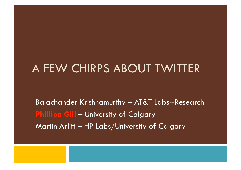#### A FEW CHIRPS ABOUT TWITTER

Balachander Krishnamurthy – AT&T Labs--Research **Phillipa Gill – University of Calgary** Martin Arlitt – HP Labs/University of Calgary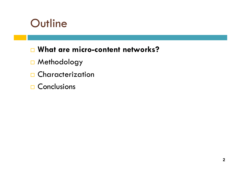## **Outline**

#### **What are micro-content networks?**

- Methodology
- □ Characterization
- Conclusions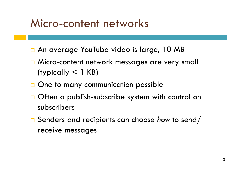### Micro-content networks

- □ An average YouTube video is large, 10 MB
- □ Micro-content network messages are very small (typically < 1 KB)
- $\Box$  One to many communication possible
- $\Box$  Often a publish-subscribe system with control on subscribers
- Senders and recipients can choose *how* to send/ receive messages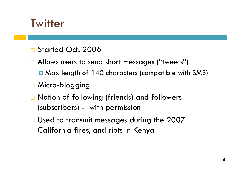### **Twitter**

- □ Started Oct. 2006
- □ Allows users to send short messages ("tweets")
	- **E** Max length of 140 characters (compatible with SMS)
- □ Micro-blogging
- □ Notion of following (friends) and followers (subscribers) - with permission
- □ Used to transmit messages during the 2007 California fires, and riots in Kenya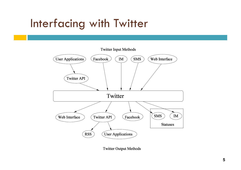## Interfacing with Twitter



**Twitter Output Methods**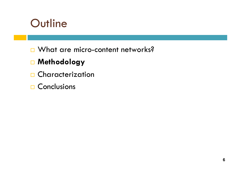## **Outline**

□ What are micro-content networks?

#### **Methodology**

- □ Characterization
- **□ Conclusions**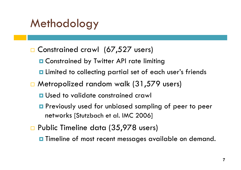# **Methodology**

#### □ Constrained crawl (67,527 users)

- **□ Constrained by Twitter API rate limiting**
- Limited to collecting partial set of each user's friends
- □ Metropolized random walk (31,579 users)
	- **<u>E</u>** Used to validate constrained crawl
	- **P** Previously used for unbiased sampling of peer to peer networks [Stutzbach et al. IMC 2006]
- □ Public Timeline data (35,978 users)
	- **O** Timeline of most recent messages available on demand.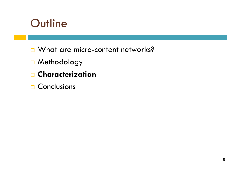## **Outline**

- □ What are micro-content networks?
- Methodology
- **Characterization**
- **□ Conclusions**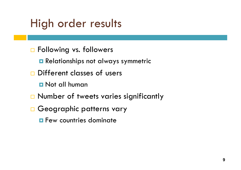# High order results

- **D** Following vs. followers
	- **Relationships not always symmetric**
- Different classes of users
	- **D** Not all human
- □ Number of tweets varies significantly
- Geographic patterns vary
	- **Few countries dominate**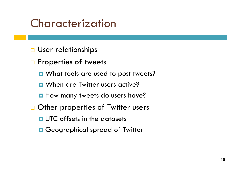## Characterization

**User relationships** 

□ Properties of tweets

**O** What tools are used to post tweets?

**<u>n</u>** When are Twitter users active?

**How many tweets do users have?** 

□ Other properties of Twitter users

**<u>n</u>** UTC offsets in the datasets

**□ Geographical spread of Twitter**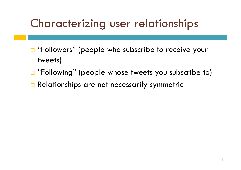# Characterizing user relationships

- □ "Followers" (people who subscribe to receive your tweets)
- □ "Following" (people whose tweets you subscribe to)
- Relationships are not necessarily symmetric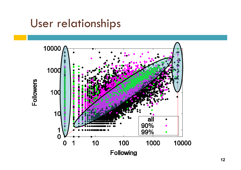## User relationships

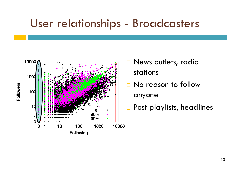#### User relationships - Broadcasters



- □ News outlets, radio stations
- $\square$  No reason to follow

anyone

□ Post playlists, headlines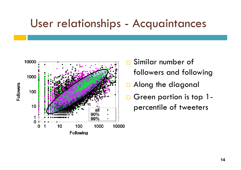#### User relationships - Acquaintances



- □ Similar number of followers and following
- □ Along the diagonal
- Green portion is top 1percentile of tweeters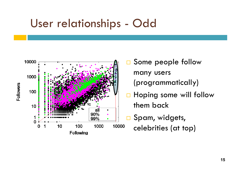## User relationships - Odd



- □ Some people follow many users (programmatically)
- **Hoping some will follow** them back
- □ Spam, widgets, celebrities (at top)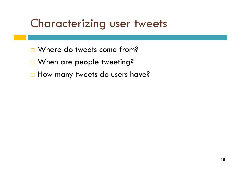## Characterizing user tweets

- □ Where do tweets come from?
- □ When are people tweeting?
- $\Box$  How many tweets do users have?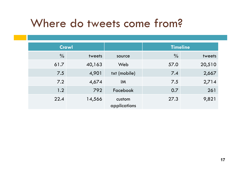## Where do tweets come from?

| <b>Crawl</b>  |        |                        | <b>Timeline</b> |        |
|---------------|--------|------------------------|-----------------|--------|
| $\frac{0}{0}$ | tweets | source                 | $\frac{0}{0}$   | tweets |
| 61.7          | 40,163 | Web                    | 57.0            | 20,510 |
| 7.5           | 4,901  | txt (mobile)           | 7.4             | 2,667  |
| 7.2           | 4,674  | <b>IM</b>              | 7.5             | 2,714  |
| 1.2           | 792    | Facebook               | 0.7             | 261    |
| 22.4          | 14,566 | custom<br>applications | 27.3            | 9,821  |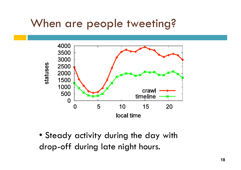# When are people tweeting?



• Steady activity during the day with drop-off during late night hours.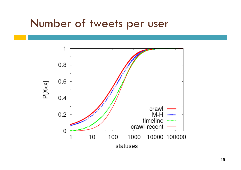#### Number of tweets per user

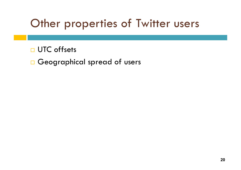# Other properties of Twitter users

**D** UTC offsets

Geographical spread of users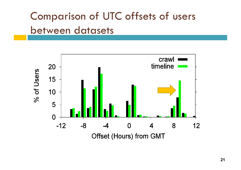# Comparison of UTC offsets of users between datasets

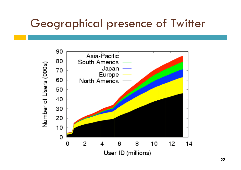## Geographical presence of Twitter

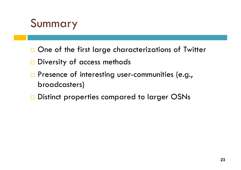# Summary

- $\Box$  One of the first large characterizations of Twitter
- $\square$  Diversity of access methods
- **Presence of interesting user-communities (e.g.,** broadcasters)
- □ Distinct properties compared to larger OSNs